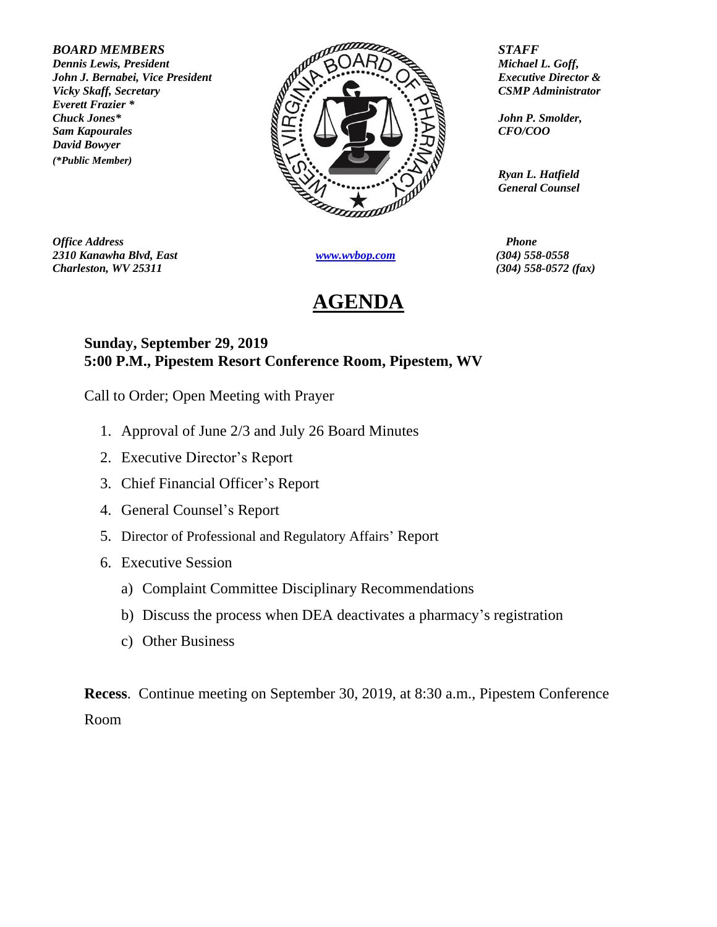*Everett Frazier \* David Bowyer (\*Public Member)*



*Office Address Phone 2310 Kanawha Blvd, East [www.wvbop.com](http://www.wvbop.com/) (304) 558-0558 Charleston, WV 25311 (304) 558-0572 (fax)*

## **AGENDA**

*Ryan L. Hatfield General Counsel*

## **Sunday, September 29, 2019 5:00 P.M., Pipestem Resort Conference Room, Pipestem, WV**

Call to Order; Open Meeting with Prayer

- 1. Approval of June 2/3 and July 26 Board Minutes
- 2. Executive Director's Report
- 3. Chief Financial Officer's Report
- 4. General Counsel's Report
- 5. Director of Professional and Regulatory Affairs' Report
- 6. Executive Session
	- a) Complaint Committee Disciplinary Recommendations
	- b) Discuss the process when DEA deactivates a pharmacy's registration
	- c) Other Business

**Recess**. Continue meeting on September 30, 2019, at 8:30 a.m., Pipestem Conference Room